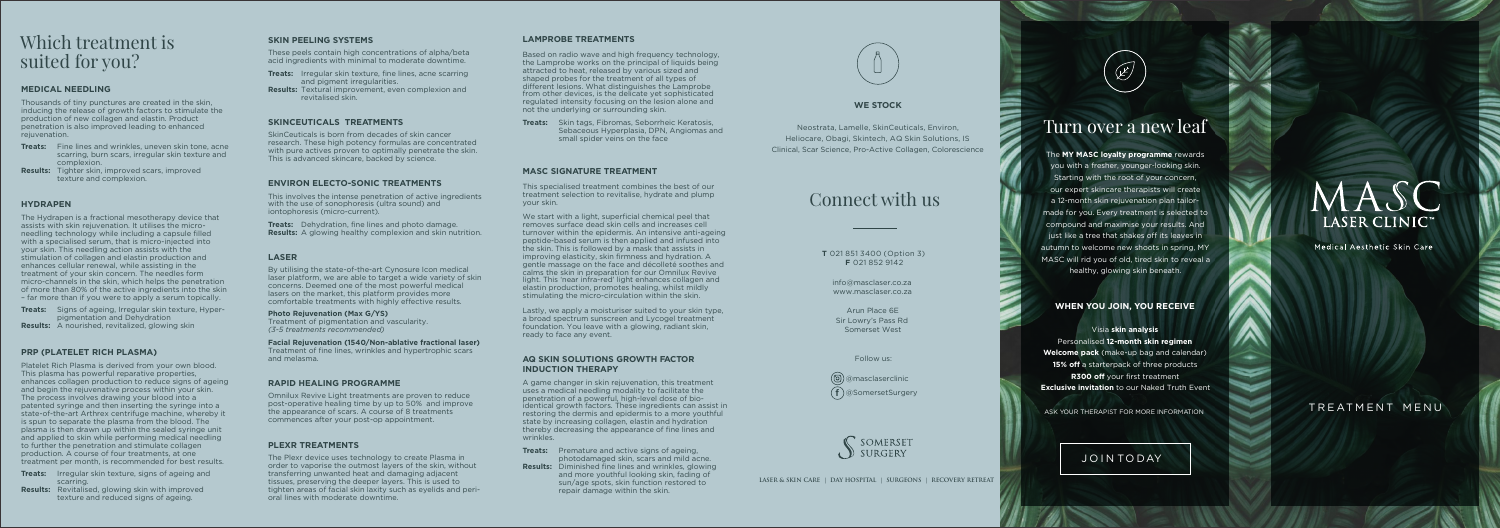### Which treatment is suited for you?

info@masclaser.co.za www.masclaser.co.za

Arun Place 6E Sir Lowry's Pass Rd Somerset West

Follow us:

### Connect with us

**T** 021 851 3400 (Option 3) **F** 021 852 9142

### Turn o ver a ne w leaf

The **MY MASC lo yalty programme** rewards you with a fresher, younger-looking skin. Starting with the root of your concern, our expert skincare therapists will create a 12-month skin rejuvenation plan tailormade for you. Every treatment is selected to compound and maximise your results. And just like a tree that shakes off its leaves in autumn to welcome new shoots in spring, MY MASC will rid you of old, tired skin to reveal a healthy, glowing skin beneath.

Neostrata, Lamelle, SkinCeuticals, Environ, Heliocare, Obagi, Skintech, AQ Skin Solutions, IS Clinical, Scar Science, Pro-Active Collagen, Colorescience

Thousands of tiny punctures are created in the skin, inducing the release of growth factors to stimulate the production of new collagen and elastin. Product penetration is also improved leading to enhanced rejuvenation.

### **WHEN YOU JOIN, YOU RECEIVE**

Visia **skin analysis** Personalised **12-month skin regimen Welcome pack** (make-up bag and calendar) **15% off** a starterpack of three products **R300 off** your first treatment **Exclusive invitation** to our Naked Truth Event

ASK YOUR THERAPIST FOR MORE INFORMATION

### JOIN TODAY

MASC LASER CLINIC<sup>®</sup>

Medical Aesthetic Skin Care

TREATMENT MENU

### **WE S TOCK**

### **MEDICAL NEEDLING**

- **Treats:** Fine lines and wrinkles, uneven skin tone, acne scarring, burn scars, irregular skin texture and complexion.
- **Results:** Tighter skin, improved scars, improved texture and complexion.

### **HYDRAPEN**

The Hydrapen is a fractional mesotherapy device that assists with skin rejuvenation. It utilises the microneedling technology while including a capsule filled with a specialised serum, that is micro-injected into your skin. This needling action assists with the stimulation of collagen and elastin production and enhances cellular renewal, while assisting in the treatment of your skin concern. The needles form micro-channels in the skin, which helps the penetration of more than 80% of the active ingredients into the skin – far more than if you were to apply a serum topically.

**Treats:** Signs of ageing, Irregular skin texture, Hyperpigmentation and Dehydration **Results:** A nourished, revitalized, glowing skin

#### **PRP (PLATELET RICH PLASMA)**

Platelet Rich Plasma is derived from your own blood. This plasma has powerful reparative properties, enhances collagen production to reduce signs of ageing and begin the rejuvenative process within your skin. The process involves drawing your blood into a patented syringe and then inserting the syringe into a state-of-the-art Arthrex centrifuge machine, whereby it is spun to separate the plasma from the blood. The plasma is then drawn up within the sealed syringe unit and applied to skin while performing medical needling to further the penetration and stimulate collagen production. A course of four treatments, at one treatment per month, is recommended for best results.

- **Treats:** Irregular skin texture, signs of ageing and scarring.
- **Results:** Revitalised, glowing skin with improved texture and reduced signs of ageing.

#### **INDUCTION THERAPY AQ SKIN SOLUTIONS GROWTH FACTOR**

### **SKIN PEELING S Y STEMS**

These peels contain high concentrations of alpha/beta acid ingredients with minimal to moderate downtime.

- **Treats:** Irregular skin texture, fine lines, acne scarring and pigment irregularities.
- **Results:** Textural improvement, even complexion and revitalised skin.

**Treats:** Premature and active signs of ageing. photodamaged skin, scars and mild acne. **Results:** Diminished fine lines and wrinkles, glowing and more youthful looking skin, fading of sun/age spots, skin function restored to repair damage within the skin.



#### **SKINCEUTICALS TREATMENTS**

SkinCeuticals is born from decades of skin cancer research. These high potency formulas are concentrated with pure actives proven to optimally penetrate the skin. This is advanced skincare, backed by science.

> @masclaserclinic @SomersetSurgery **f**



LASER & SKIN CARE | DAY HOSPITAL | SURGEONS | RECOVERY RETREAT



### **ENVIRON ELECTO-SONIC TREATMENT S**

This involves the intense penetration of active ingredients with the use of sonophoresis (ultra sound) and iontophoresis (micro-current).

**Treats:** Dehydration, fine lines and photo damage. **Results:** A glowing healthy complexion and skin nutrition.

#### **LASER**

By utilising the state-of-the-art Cynosure Icon medical laser platform, we are able to target a wide variety of skin concerns. Deemed one of the most powerful medical lasers on the market, this platform provides more comfortable treatments with highly effective results.

**Photo Rejuvenation (Max G/YS)** Treatment of pigmentation and vascularity. *(3-5 treatments recommended)* 

**Facial Rejuvenation (1540/Non-ablative fractional laser)**  Treatment of fine lines, wrinkles and hypertrophic scars and melasma.

#### **RAPID HEALING PROGRAMME**

Omnilux Revive Light treatments are proven to reduce post-operative healing time by up to 50% and improve the appearance of scars. A course of 8 treatments commences after your post-op appointment.

#### **PLEXR TREATMENT S**

The Plexr device uses technology to create Plasma in order to vaporise the outmost layers of the skin, without transferring unwanted heat and damaging adjacent tissues, preserving the deeper layers. This is used to tighten areas of facial skin laxity such as eyelids and perioral lines with moderate downtime.

### **LAMPROBE TREATMENT S**

Based on radio wave and high frequency technology, the Lamprobe works on the principal of liquids being attracted to heat, released by various sized and shaped probes for the treatment of all types of different lesions. What distinguishes the Lamprobe from other devices, is the delicate yet sophisticated regulated intensity focusing on the lesion alone and not the underlying or surrounding skin.

**Treats:** Skin tags, Fibromas, Seborrheic Keratosis, Sebaceous Hyperplasia, D PN, Angiomas and small spider veins on the face

#### **MASC SIGNATURE TREATMENT**

This specialised treatment combines the best of our treatment selection to revitalise, hydrate and plump your skin.

We start with a light, superficial chemical peel that removes surface dead skin cells and increases cell turnover within the epidermis. An intensive anti-ageing peptide-based serum is then applied and infused into the skin. This is followed by a mask that assists in improving elasticity, skin firmness and hydration. A gentle massage on the face and décolleté soothes and calms the skin in preparation for our Omnilux Revive light. This 'near infra-red' light enhances collagen and elastin production, promotes healing, whilst mildly stimulating the micro-circulation within the skin.

Lastly, we apply a moisturiser suited to your skin type, a broad spectrum sunscreen and Lycogel treatment foundation. You leave with a glowing, radiant skin, ready to face any event.

A game changer in skin rejuvenation, this treatment uses a medical needling modality to facilitate the penetration of a powerful, high-level dose of bioidentical growth factors. These ingredients can assist in restoring the dermis and epidermis to a more youthful state by increasing collagen, elastin and hydration thereby decreasing the appearance of fine lines and wrinkles.